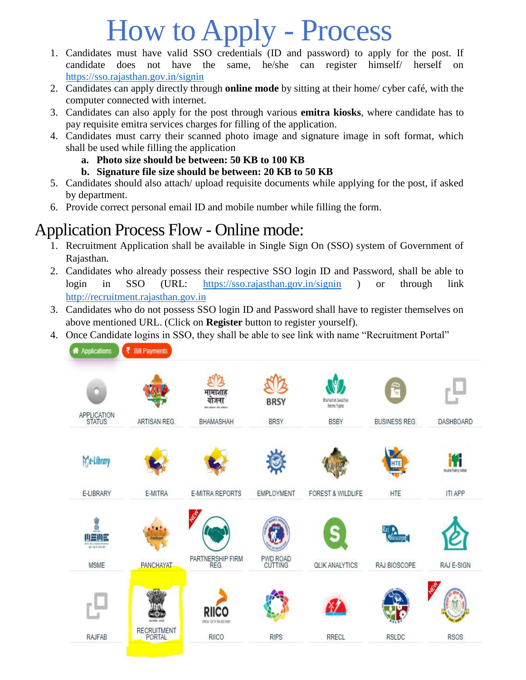## How to Apply - Process

- 1. Candidates must have valid SSO credentials (ID and password) to apply for the post. If candidate does not have the same, he/she can register himself/ herself on <https://sso.rajasthan.gov.in/signin>
- 2. Candidates can apply directly through **online mode** by sitting at their home/ cyber café, with the computer connected with internet.
- 3. Candidates can also apply for the post through various **emitra kiosks**, where candidate has to pay requisite emitra services charges for filling of the application.
- 4. Candidates must carry their scanned photo image and signature image in soft format, which shall be used while filling the application
	- **a. Photo size should be between: 50 KB to 100 KB**
	- **b. Signature file size should be between: 20 KB to 50 KB**
- 5. Candidates should also attach/ upload requisite documents while applying for the post, if asked by department.
- 6. Provide correct personal email ID and mobile number while filling the form.

## Application Process Flow - Online mode:

- 1. Recruitment Application shall be available in Single Sign On (SSO) system of Government of Rajasthan.
- 2. Candidates who already possess their respective SSO login ID and Password, shall be able to login in SSO (URL: <https://sso.rajasthan.gov.in/signin> ) or through link [http://recruitment.rajasthan.gov.in](http://recruitment.rajasthan.gov.in/)
- 3. Candidates who do not possess SSO login ID and Password shall have to register themselves on above mentioned URL. (Click on **Register** button to register yourself).
- 4. Once Candidate logins in SSO, they shall be able to see link with name "Recruitment Portal"